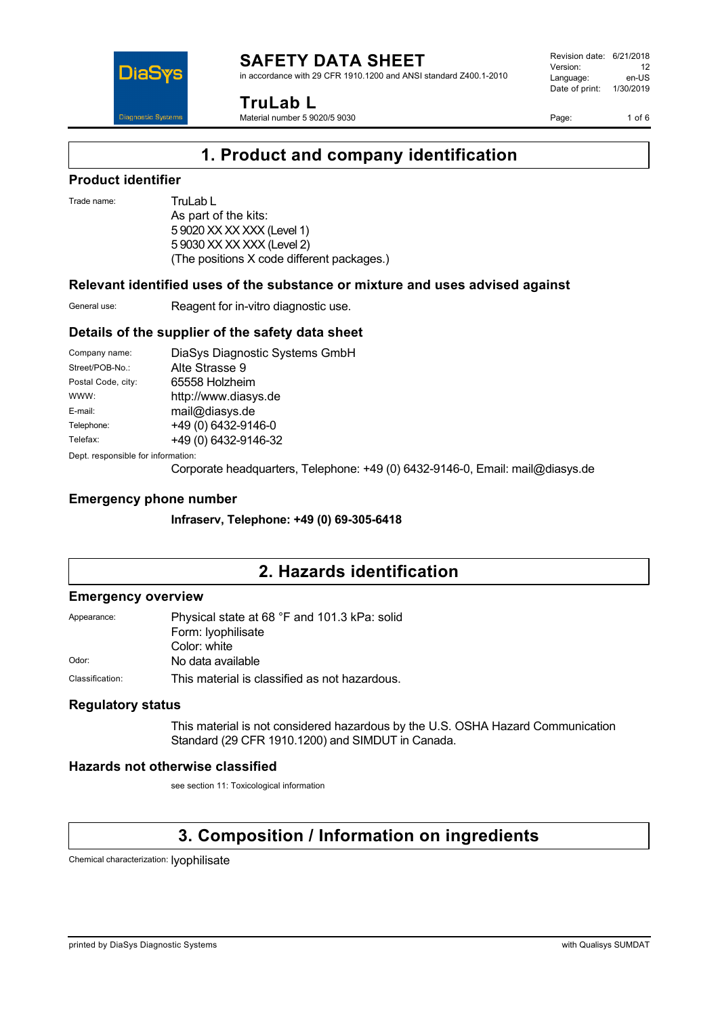in accordance with 29 CFR 1910.1200 and ANSI standard Z400.1-2010



**TruLab L**

Material number 5 9020/5 9030

Revision date: 6/21/2018 Version: 12<br>Language: en-LIS Language: Date of print: 1/30/2019

Page: 1 of 6

### **1. Product and company identification**

### **Product identifier**

Trade name: TruLab L

As part of the kits: 5 9020 XX XX XXX (Level 1) 5 9030 XX XX XXX (Level 2) (The positions X code different packages.)

### **Relevant identified uses of the substance or mixture and uses advised against**

General use: Reagent for in-vitro diagnostic use.

### **Details of the supplier of the safety data sheet**

| Company name:                                  | DiaSys Diagnostic Systems GmbH |  |
|------------------------------------------------|--------------------------------|--|
| Street/POB-No.:                                | Alte Strasse 9                 |  |
| Postal Code, city:                             | 65558 Holzheim                 |  |
| WWW:                                           | http://www.diasys.de           |  |
| E-mail:                                        | mail@diasys.de                 |  |
| Telephone:                                     | +49 (0) 6432-9146-0            |  |
| Telefax:                                       | +49 (0) 6432-9146-32           |  |
| Death as so so offer the football of the state |                                |  |

Dept. responsible for information:

Corporate headquarters, Telephone: +49 (0) 6432-9146-0, Email: mail@diasys.de

### **Emergency phone number**

**Infraserv, Telephone: +49 (0) 69-305-6418**

### **2. Hazards identification**

#### **Emergency overview**

| Appearance:     | Physical state at 68 °F and 101.3 kPa: solid  |
|-----------------|-----------------------------------------------|
|                 | Form: lyophilisate                            |
|                 | Color: white                                  |
| Odor:           | No data available                             |
| Classification: | This material is classified as not hazardous. |

### **Regulatory status**

This material is not considered hazardous by the U.S. OSHA Hazard Communication Standard (29 CFR 1910.1200) and SIMDUT in Canada.

### **Hazards not otherwise classified**

see section 11: Toxicological information

### **3. Composition / Information on ingredients**

Chemical characterization: lyophilisate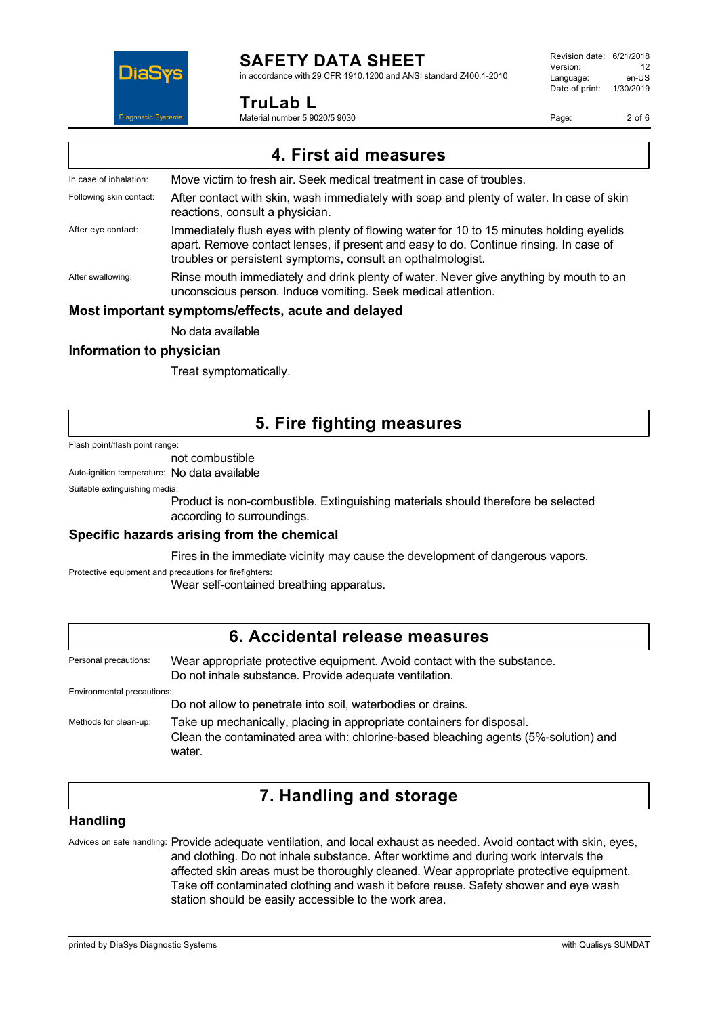

### **SAFETY DATA SHEET**

in accordance with 29 CFR 1910.1200 and ANSI standard Z400.1-2010

### **TruLab L**

Material number 5 9020/5 9030

Revision date: 6/21/2018 Version: 12<br>Language: en-LIS Language: Date of print: 1/30/2019

Page: 2 of 6

| 4. First aid measures                              |                                                                                                                                                                                                                                                  |  |
|----------------------------------------------------|--------------------------------------------------------------------------------------------------------------------------------------------------------------------------------------------------------------------------------------------------|--|
| In case of inhalation:                             | Move victim to fresh air. Seek medical treatment in case of troubles.                                                                                                                                                                            |  |
| Following skin contact:                            | After contact with skin, wash immediately with soap and plenty of water. In case of skin<br>reactions, consult a physician.                                                                                                                      |  |
| After eye contact:                                 | Immediately flush eyes with plenty of flowing water for 10 to 15 minutes holding eyelids<br>apart. Remove contact lenses, if present and easy to do. Continue rinsing. In case of<br>troubles or persistent symptoms, consult an opthalmologist. |  |
| After swallowing:                                  | Rinse mouth immediately and drink plenty of water. Never give anything by mouth to an<br>unconscious person. Induce vomiting. Seek medical attention.                                                                                            |  |
| Most important symptoms/effects, acute and delayed |                                                                                                                                                                                                                                                  |  |

No data available

### **Information to physician**

Treat symptomatically.

### **5. Fire fighting measures**

#### Flash point/flash point range:

not combustible

Auto-ignition temperature: No data available

Suitable extinguishing media:

Product is non-combustible. Extinguishing materials should therefore be selected according to surroundings.

### **Specific hazards arising from the chemical**

Fires in the immediate vicinity may cause the development of dangerous vapors.

Protective equipment and precautions for firefighters:

Wear self-contained breathing apparatus.

| 6. Accidental release measures |                                                                                                                                                                        |  |
|--------------------------------|------------------------------------------------------------------------------------------------------------------------------------------------------------------------|--|
| Personal precautions:          | Wear appropriate protective equipment. Avoid contact with the substance.<br>Do not inhale substance. Provide adequate ventilation.                                     |  |
| Environmental precautions:     | Do not allow to penetrate into soil, waterbodies or drains.                                                                                                            |  |
| Methods for clean-up:          | Take up mechanically, placing in appropriate containers for disposal.<br>Clean the contaminated area with: chlorine-based bleaching agents (5%-solution) and<br>water. |  |

### **7. Handling and storage**

### **Handling**

Advices on safe handling: Provide adequate ventilation, and local exhaust as needed. Avoid contact with skin, eyes, and clothing. Do not inhale substance. After worktime and during work intervals the affected skin areas must be thoroughly cleaned. Wear appropriate protective equipment. Take off contaminated clothing and wash it before reuse. Safety shower and eye wash station should be easily accessible to the work area.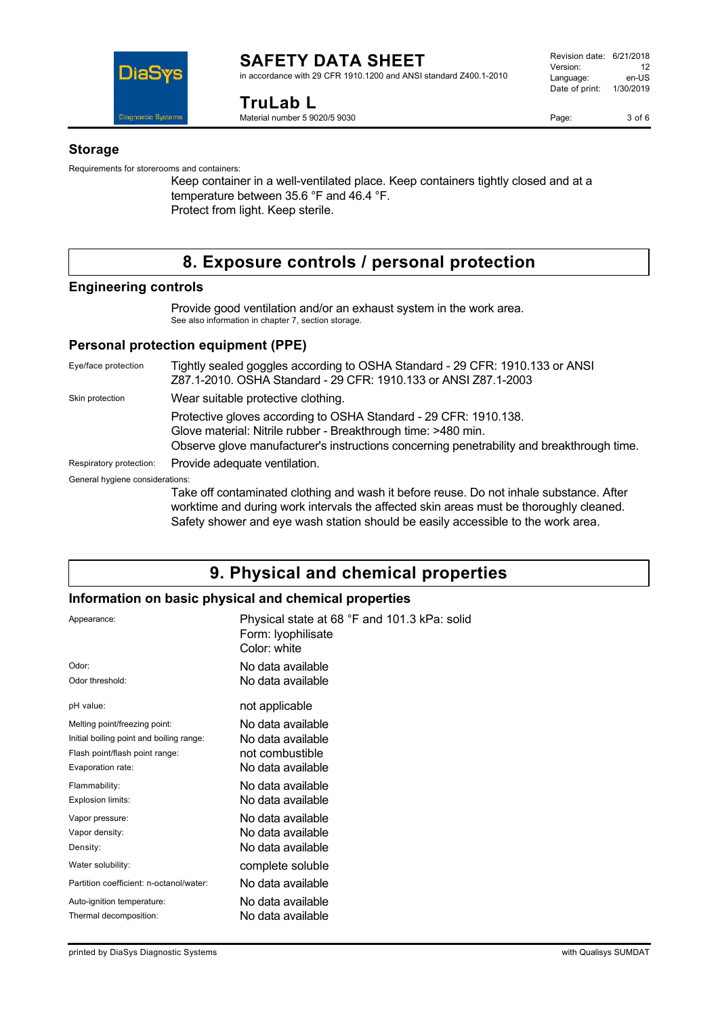

#### **SAFETY DATA SHEET** in accordance with 29 CFR 1910.1200 and ANSI standard Z400.1-2010

**TruLab L** Material number 5 9020/5 9030

#### **Storage**

Requirements for storerooms and containers:

Keep container in a well-ventilated place. Keep containers tightly closed and at a temperature between 35.6 °F and 46.4 °F. Protect from light. Keep sterile.

### **8. Exposure controls / personal protection**

### **Engineering controls**

Provide good ventilation and/or an exhaust system in the work area. See also information in chapter 7, section storage.

### **Personal protection equipment (PPE)**

Eye/face protection Tightly sealed goggles according to OSHA Standard - 29 CFR: 1910.133 or ANSI Z87.1-2010. OSHA Standard - 29 CFR: 1910.133 or ANSI Z87.1-2003 Skin protection **Wear suitable protective clothing.** Protective gloves according to OSHA Standard - 29 CFR: 1910.138. Glove material: Nitrile rubber - Breakthrough time: >480 min. Observe glove manufacturer's instructions concerning penetrability and breakthrough time. Respiratory protection: Provide adequate ventilation. General hygiene considerations: Take off contaminated clothing and wash it before reuse. Do not inhale substance. After worktime and during work intervals the affected skin areas must be thoroughly cleaned.

Safety shower and eye wash station should be easily accessible to the work area.

## **9. Physical and chemical properties**

### **Information on basic physical and chemical properties**

| Appearance:                              | Physical state at 68 °F and 101.3 kPa: solid<br>Form: lyophilisate<br>Color: white |
|------------------------------------------|------------------------------------------------------------------------------------|
| Odor:                                    | No data available                                                                  |
| Odor threshold:                          | No data available                                                                  |
| pH value:                                | not applicable                                                                     |
| Melting point/freezing point:            | No data available                                                                  |
| Initial boiling point and boiling range: | No data available                                                                  |
| Flash point/flash point range:           | not combustible                                                                    |
| Evaporation rate:                        | No data available.                                                                 |
| Flammability:                            | No data available                                                                  |
| Explosion limits:                        | No data available                                                                  |
| Vapor pressure:                          | No data available                                                                  |
| Vapor density:                           | No data available                                                                  |
| Density:                                 | No data available                                                                  |
| Water solubility:                        | complete soluble                                                                   |
| Partition coefficient: n-octanol/water:  | No data available                                                                  |
| Auto-ignition temperature:               | No data available                                                                  |
| Thermal decomposition:                   | No data available                                                                  |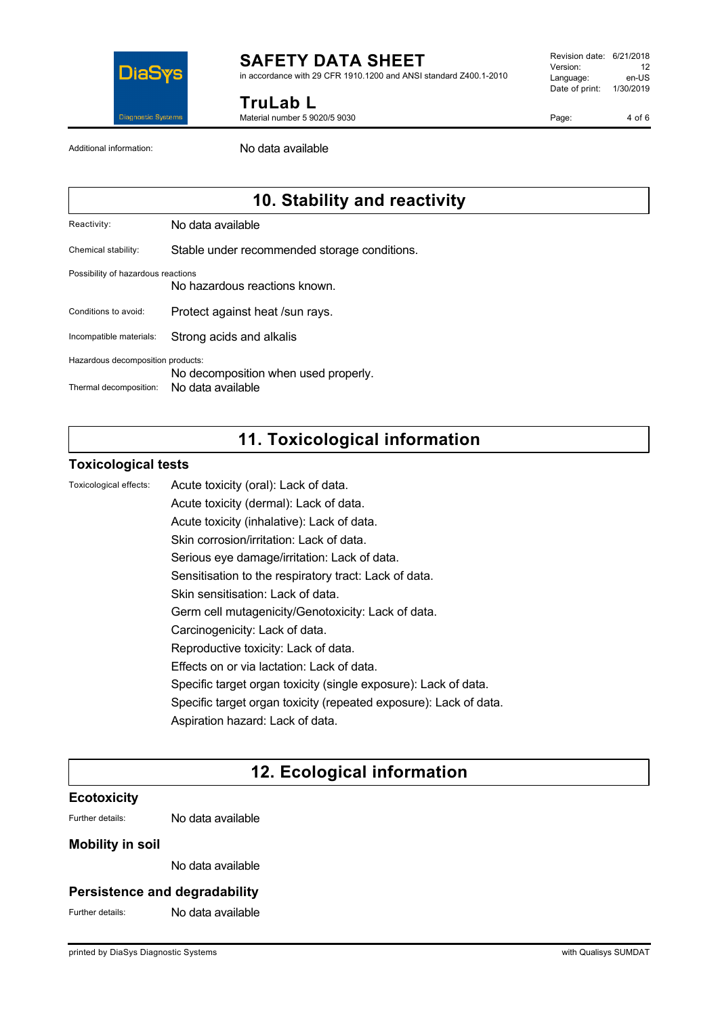

### **SAFETY DATA SHEET**

in accordance with 29 CFR 1910.1200 and ANSI standard Z400.1-2010

**TruLab L**

Material number 5 9020/5 9030

Revision date: 6/21/2018 Version: 12<br>Language: en-LIS Language: Date of print: 1/30/2019

Page: 4 of 6

Additional information: No data available

### **10. Stability and reactivity**

Reactivity: No data available

Chemical stability: Stable under recommended storage conditions.

#### Possibility of hazardous reactions

No hazardous reactions known.

Conditions to avoid: Protect against heat /sun rays.

Incompatible materials: Strong acids and alkalis

Hazardous decomposition products:

No decomposition when used properly.

Thermal decomposition: No data available

### **11. Toxicological information**

### **Toxicological tests**

Toxicological effects: Acute toxicity (oral): Lack of data.

Acute toxicity (dermal): Lack of data. Acute toxicity (inhalative): Lack of data. Skin corrosion/irritation: Lack of data. Serious eye damage/irritation: Lack of data. Sensitisation to the respiratory tract: Lack of data. Skin sensitisation: Lack of data.

Germ cell mutagenicity/Genotoxicity: Lack of data.

- Carcinogenicity: Lack of data.
- Reproductive toxicity: Lack of data.
- Effects on or via lactation: Lack of data.
- Specific target organ toxicity (single exposure): Lack of data.
- Specific target organ toxicity (repeated exposure): Lack of data.
- Aspiration hazard: Lack of data.

### **12. Ecological information**

### **Ecotoxicity**

Further details: No data available

### **Mobility in soil**

No data available

### **Persistence and degradability**

Further details: No data available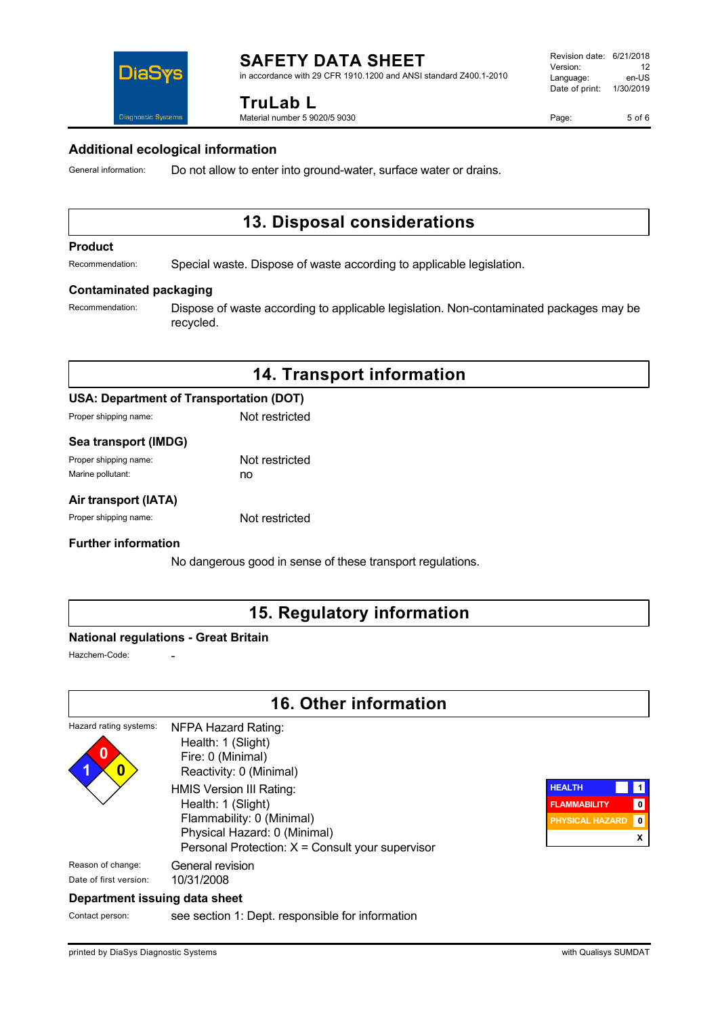

in accordance with 29 CFR 1910.1200 and ANSI standard Z400.1-2010

### **TruLab L**

Material number 5 9020/5 9030

Page: 5 of 6

# **Diagnostic Systems**

**DiaS** 

### **Additional ecological information**

General information: Do not allow to enter into ground-water, surface water or drains.

### **13. Disposal considerations**

#### **Product**

Recommendation: Special waste. Dispose of waste according to applicable legislation.

#### **Contaminated packaging**

Recommendation: Dispose of waste according to applicable legislation. Non-contaminated packages may be recycled.

### **14. Transport information**

### **USA: Department of Transportation (DOT)**

Proper shipping name: Not restricted

#### **Sea transport (IMDG)**

| Proper shipping name: | Not restricted |
|-----------------------|----------------|
| Marine pollutant:     | no             |

### **Air transport (IATA)**

Proper shipping name: Not restricted

### **Further information**

No dangerous good in sense of these transport regulations.

### **15. Regulatory information**

### **National regulations - Great Britain**

Hazchem-Code:

### **16. Other information**

| Hazard rating systems:<br>0<br>1<br>0 | <b>NFPA Hazard Rating:</b><br>Health: 1 (Slight)<br>Fire: 0 (Minimal)<br>Reactivity: 0 (Minimal)                                                                |
|---------------------------------------|-----------------------------------------------------------------------------------------------------------------------------------------------------------------|
|                                       | HMIS Version III Rating:<br>Health: 1 (Slight)<br>Flammability: 0 (Minimal)<br>Physical Hazard: 0 (Minimal)<br>Personal Protection: X = Consult your supervisor |
| Reason of change:                     | General revision                                                                                                                                                |
| Date of first version:                | 10/31/2008                                                                                                                                                      |
| .                                     |                                                                                                                                                                 |



### **Department issuing data sheet**

Contact person: see section 1: Dept. responsible for information